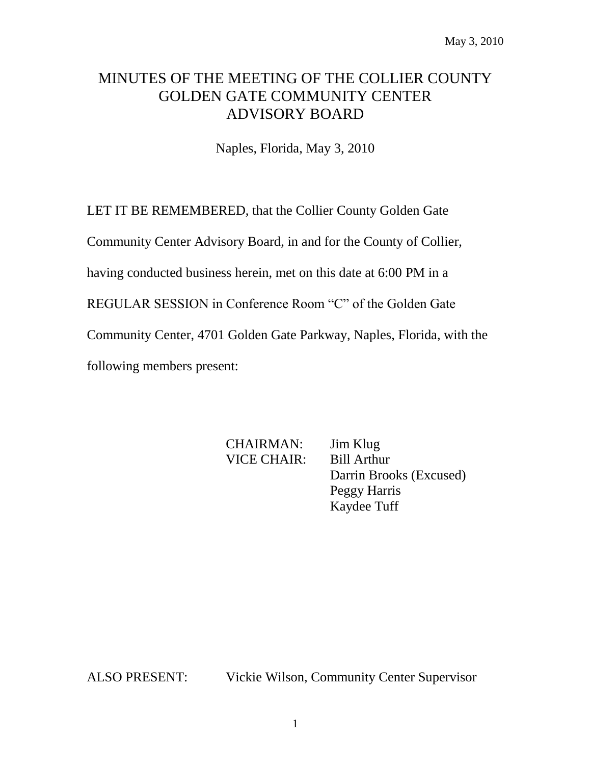# MINUTES OF THE MEETING OF THE COLLIER COUNTY GOLDEN GATE COMMUNITY CENTER ADVISORY BOARD

Naples, Florida, May 3, 2010

LET IT BE REMEMBERED, that the Collier County Golden Gate

Community Center Advisory Board, in and for the County of Collier,

having conducted business herein, met on this date at 6:00 PM in a

REGULAR SESSION in Conference Room "C" of the Golden Gate

Community Center, 4701 Golden Gate Parkway, Naples, Florida, with the

following members present:

CHAIRMAN: Jim Klug VICE CHAIR: Bill Arthur Darrin Brooks (Excused) Peggy Harris Kaydee Tuff

ALSO PRESENT: Vickie Wilson, Community Center Supervisor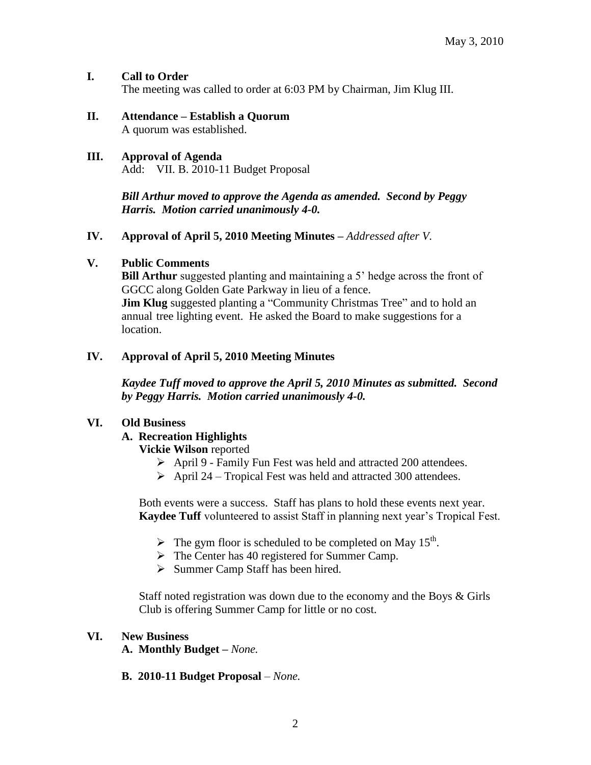### **I. Call to Order**

The meeting was called to order at 6:03 PM by Chairman, Jim Klug III.

#### **II. Attendance – Establish a Quorum** A quorum was established.

#### **III. Approval of Agenda** Add: VII. B. 2010-11 Budget Proposal

*Bill Arthur moved to approve the Agenda as amended. Second by Peggy Harris. Motion carried unanimously 4-0.*

#### **IV. Approval of April 5, 2010 Meeting Minutes –** *Addressed after V.*

#### **V. Public Comments**

**Bill Arthur** suggested planting and maintaining a 5' hedge across the front of GGCC along Golden Gate Parkway in lieu of a fence. **Jim Klug** suggested planting a "Community Christmas Tree" and to hold an annual tree lighting event. He asked the Board to make suggestions for a location.

### **IV. Approval of April 5, 2010 Meeting Minutes**

*Kaydee Tuff moved to approve the April 5, 2010 Minutes as submitted. Second by Peggy Harris. Motion carried unanimously 4-0.*

#### **VI. Old Business**

## **A. Recreation Highlights**

**Vickie Wilson** reported

- April 9 Family Fun Fest was held and attracted 200 attendees.
- $\triangleright$  April 24 Tropical Fest was held and attracted 300 attendees.

Both events were a success. Staff has plans to hold these events next year. **Kaydee Tuff** volunteered to assist Staff in planning next year's Tropical Fest.

- $\triangleright$  The gym floor is scheduled to be completed on May 15<sup>th</sup>.
- $\triangleright$  The Center has 40 registered for Summer Camp.
- $\triangleright$  Summer Camp Staff has been hired.

Staff noted registration was down due to the economy and the Boys & Girls Club is offering Summer Camp for little or no cost.

#### **VI. New Business**

**A. Monthly Budget –** *None.*

**B. 2010-11 Budget Proposal** – *None.*